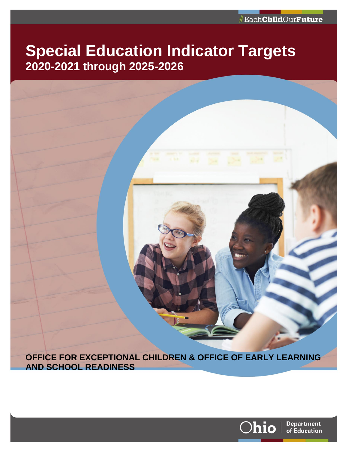# **Special Education Indicator Targets 2020-2021 through 2025-2026**



**AND SCHOOL READINESS**

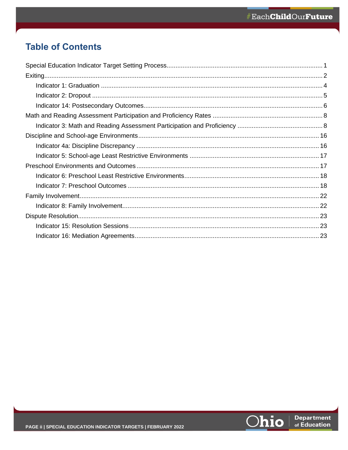# **Table of Contents**

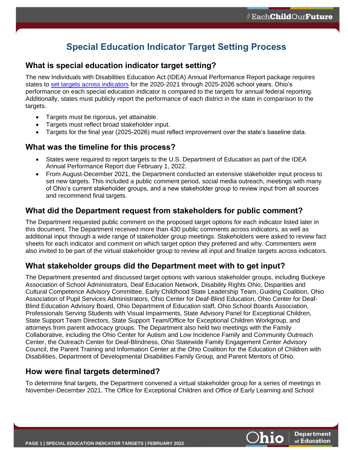# **Special Education Indicator Target Setting Process**

### <span id="page-2-0"></span>**What is special education indicator target setting?**

The new Individuals with Disabilities Education Act (IDEA) Annual Performance Report package requires states to [set targets across indicators](https://education.ohio.gov/Topics/Special-Education/Special-Education-Indicator-Target-Setting) for the 2020-2021 through 2025-2026 school years. Ohio's performance on each special education indicator is compared to the targets for annual federal reporting. Additionally, states must publicly report the performance of each district in the state in comparison to the targets.

- Targets must be rigorous, yet attainable.
- Targets must reflect broad stakeholder input.
- Targets for the final year (2025-2026) must reflect improvement over the state's baseline data.

# **What was the timeline for this process?**

- States were required to report targets to the U.S. Department of Education as part of the IDEA Annual Performance Report due February 1, 2022.
- From August-December 2021, the Department conducted an extensive stakeholder input process to set new targets. This included a public comment period, social media outreach, meetings with many of Ohio's current stakeholder groups, and a new stakeholder group to review input from all sources and recommend final targets.

# **What did the Department request from stakeholders for public comment?**

The Department requested public comment on the proposed target options for each indicator listed later in this document. The Department received more than 430 public comments across indicators, as well as additional input through a wide range of stakeholder group meetings. Stakeholders were asked to review fact sheets for each indicator and comment on which target option they preferred and why. Commenters were also invited to be part of the virtual stakeholder group to review all input and finalize targets across indicators.

# **What stakeholder groups did the Department meet with to get input?**

The Department presented and discussed target options with various stakeholder groups, including Buckeye Association of School Administrators, Deaf Education Network, Disability Rights Ohio, Disparities and Cultural Competence Advisory Committee, Early Childhood State Leadership Team, Guiding Coalition, Ohio Association of Pupil Services Administrators, Ohio Center for Deaf-Blind Education, Ohio Center for Deaf-Blind Education Advisory Board, Ohio Department of Education staff, Ohio School Boards Association, Professionals Serving Students with Visual Impairments, State Advisory Panel for Exceptional Children, State Support Team Directors, State Support Team/Office for Exceptional Children Workgroup, and attorneys from parent advocacy groups. The Department also held two meetings with the Family Collaborative, including the Ohio Center for Autism and Low Incidence Family and Community Outreach Center, the Outreach Center for Deaf-Blindness, Ohio Statewide Family Engagement Center Advisory Council, the Parent Training and Information Center at the Ohio Coalition for the Education of Children with Disabilities, Department of Developmental Disabilities Family Group, and Parent Mentors of Ohio.

## **How were final targets determined?**

To determine final targets, the Department convened a virtual stakeholder group for a series of meetings in November-December 2021. The Office for Exceptional Children and Office of Early Learning and School

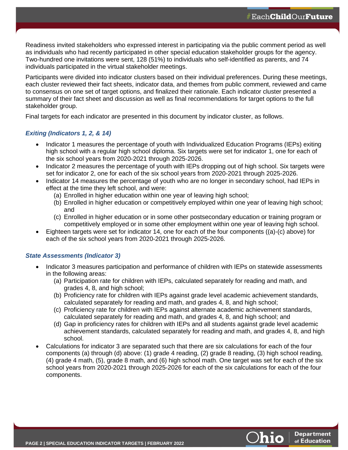Readiness invited stakeholders who expressed interest in participating via the public comment period as well as individuals who had recently participated in other special education stakeholder groups for the agency. Two-hundred one invitations were sent, 128 (51%) to individuals who self-identified as parents, and 74 individuals participated in the virtual stakeholder meetings.

Participants were divided into indicator clusters based on their individual preferences. During these meetings, each cluster reviewed their fact sheets, indicator data, and themes from public comment, reviewed and came to consensus on one set of target options, and finalized their rationale. Each indicator cluster presented a summary of their fact sheet and discussion as well as final recommendations for target options to the full stakeholder group.

Final targets for each indicator are presented in this document by indicator cluster, as follows.

### *Exiting (Indicators 1, 2, & 14)*

- <span id="page-3-0"></span>• Indicator 1 measures the percentage of youth with Individualized Education Programs (IEPs) exiting high school with a regular high school diploma. Six targets were set for indicator 1, one for each of the six school years from 2020-2021 through 2025-2026.
- Indicator 2 measures the percentage of youth with IEPs dropping out of high school. Six targets were set for indicator 2, one for each of the six school years from 2020-2021 through 2025-2026.
- Indicator 14 measures the percentage of youth who are no longer in secondary school, had IEPs in effect at the time they left school, and were:
	- (a) Enrolled in higher education within one year of leaving high school;
	- (b) Enrolled in higher education or competitively employed within one year of leaving high school; and
	- (c) Enrolled in higher education or in some other postsecondary education or training program or competitively employed or in some other employment within one year of leaving high school.
- Eighteen targets were set for indicator 14, one for each of the four components ((a)-(c) above) for each of the six school years from 2020-2021 through 2025-2026.

### *State Assessments (Indicator 3)*

- Indicator 3 measures participation and performance of children with IEPs on statewide assessments in the following areas:
	- (a) Participation rate for children with IEPs, calculated separately for reading and math, and grades 4, 8, and high school;
	- (b) Proficiency rate for children with IEPs against grade level academic achievement standards, calculated separately for reading and math, and grades 4, 8, and high school;
	- (c) Proficiency rate for children with IEPs against alternate academic achievement standards, calculated separately for reading and math, and grades 4, 8, and high school; and
	- (d) Gap in proficiency rates for children with IEPs and all students against grade level academic achievement standards, calculated separately for reading and math, and grades 4, 8, and high school.
- Calculations for indicator 3 are separated such that there are six calculations for each of the four components (a) through (d) above: (1) grade 4 reading, (2) grade 8 reading, (3) high school reading, (4) grade 4 math, (5), grade 8 math, and (6) high school math. One target was set for each of the six school years from 2020-2021 through 2025-2026 for each of the six calculations for each of the four components.

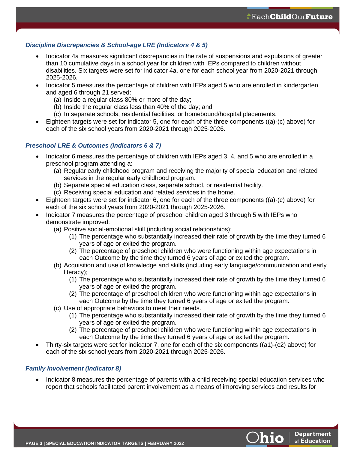### *Discipline Discrepancies & School-age LRE (Indicators 4 & 5)*

- Indicator 4a measures significant discrepancies in the rate of suspensions and expulsions of greater than 10 cumulative days in a school year for children with IEPs compared to children without disabilities. Six targets were set for indicator 4a, one for each school year from 2020-2021 through 2025-2026.
- Indicator 5 measures the percentage of children with IEPs aged 5 who are enrolled in kindergarten and aged 6 through 21 served:
	- (a) Inside a regular class 80% or more of the day;
	- (b) Inside the regular class less than 40% of the day; and
	- (c) In separate schools, residential facilities, or homebound/hospital placements.
- Eighteen targets were set for indicator 5, one for each of the three components ((a)-(c) above) for each of the six school years from 2020-2021 through 2025-2026.

### *Preschool LRE & Outcomes (Indicators 6 & 7)*

- Indicator 6 measures the percentage of children with IEPs aged 3, 4, and 5 who are enrolled in a preschool program attending a:
	- (a) Regular early childhood program and receiving the majority of special education and related services in the regular early childhood program.
	- (b) Separate special education class, separate school, or residential facility.
	- (c) Receiving special education and related services in the home.
- Eighteen targets were set for indicator 6, one for each of the three components ((a)-(c) above) for each of the six school years from 2020-2021 through 2025-2026.
- Indicator 7 measures the percentage of preschool children aged 3 through 5 with IEPs who demonstrate improved:
	- (a) Positive social-emotional skill (including social relationships);
		- (1) The percentage who substantially increased their rate of growth by the time they turned 6 years of age or exited the program.
		- (2) The percentage of preschool children who were functioning within age expectations in each Outcome by the time they turned 6 years of age or exited the program.
	- (b) Acquisition and use of knowledge and skills (including early language/communication and early literacy);
		- (1) The percentage who substantially increased their rate of growth by the time they turned 6 years of age or exited the program.
		- (2) The percentage of preschool children who were functioning within age expectations in each Outcome by the time they turned 6 years of age or exited the program.
	- (c) Use of appropriate behaviors to meet their needs.
		- (1) The percentage who substantially increased their rate of growth by the time they turned 6 years of age or exited the program.
		- (2) The percentage of preschool children who were functioning within age expectations in each Outcome by the time they turned 6 years of age or exited the program.
- Thirty-six targets were set for indicator 7, one for each of the six components ((a1)-(c2) above) for each of the six school years from 2020-2021 through 2025-2026.

### *Family Involvement (Indicator 8)*

• Indicator 8 measures the percentage of parents with a child receiving special education services who report that schools facilitated parent involvement as a means of improving services and results for

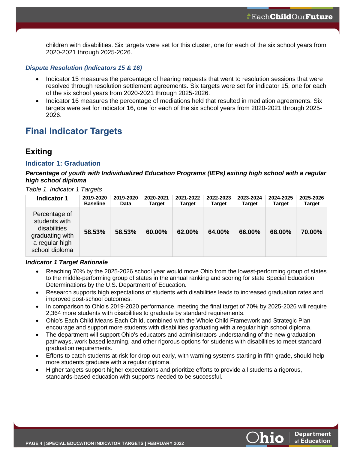children with disabilities. Six targets were set for this cluster, one for each of the six school years from 2020-2021 through 2025-2026.

#### *Dispute Resolution (Indicators 15 & 16)*

- Indicator 15 measures the percentage of hearing requests that went to resolution sessions that were resolved through resolution settlement agreements. Six targets were set for indicator 15, one for each of the six school years from 2020-2021 through 2025-2026.
- Indicator 16 measures the percentage of mediations held that resulted in mediation agreements. Six targets were set for indicator 16, one for each of the six school years from 2020-2021 through 2025- 2026.

# **Final Indicator Targets**

## **Exiting**

### <span id="page-5-0"></span>**Indicator 1: Graduation**

### *Percentage of youth with Individualized Education Programs (IEPs) exiting high school with a regular high school diploma*

*Table 1. Indicator 1 Targets*

| <b>Indicator 1</b>                                                                                    | 2019-2020       | 2019-2020   | 2020-2021     | 2021-2022 | 2022-2023 | 2023-2024     | 2024-2025     | 2025-2026     |
|-------------------------------------------------------------------------------------------------------|-----------------|-------------|---------------|-----------|-----------|---------------|---------------|---------------|
|                                                                                                       | <b>Baseline</b> | <b>Data</b> | <b>Target</b> | Target    | Target    | <b>Target</b> | <b>Target</b> | <b>Target</b> |
| Percentage of<br>students with<br>disabilities<br>graduating with<br>a regular high<br>school diploma | 58.53%          | 58.53%      | 60.00%        | 62.00%    | 64.00%    | 66.00%        | 68.00%        | 70.00%        |

### *Indicator 1 Target Rationale*

- Reaching 70% by the 2025-2026 school year would move Ohio from the lowest-performing group of states to the middle-performing group of states in the annual ranking and scoring for state Special Education Determinations by the U.S. Department of Education.
- Research supports high expectations of students with disabilities leads to increased graduation rates and improved post-school outcomes.
- In comparison to Ohio's 2019-2020 performance, meeting the final target of 70% by 2025-2026 will require 2,364 more students with disabilities to graduate by standard requirements.
- Ohio's Each Child Means Each Child, combined with the Whole Child Framework and Strategic Plan encourage and support more students with disabilities graduating with a regular high school diploma.
- The department will support Ohio's educators and administrators understanding of the new graduation pathways, work based learning, and other rigorous options for students with disabilities to meet standard graduation requirements.
- Efforts to catch students at-risk for drop out early, with warning systems starting in fifth grade, should help more students graduate with a regular diploma.
- <span id="page-5-1"></span>• Higher targets support higher expectations and prioritize efforts to provide all students a rigorous, standards-based education with supports needed to be successful.



**Department** 

of Education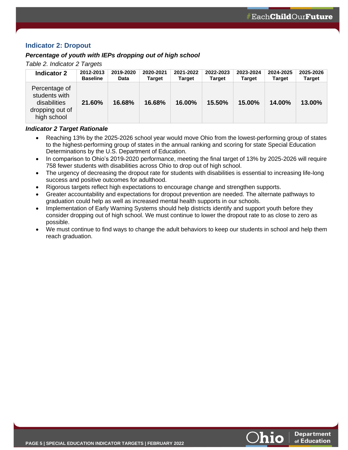### **Indicator 2: Dropout**

### *Percentage of youth with IEPs dropping out of high school*

*Table 2. Indicator 2 Targets*

| <b>Indicator 2</b>                                                               | 2012-2013       | 2019-2020   | 2020-2021 | 2021-2022 | 2022-2023 | 2023-2024 | 2024-2025     | 2025-2026     |
|----------------------------------------------------------------------------------|-----------------|-------------|-----------|-----------|-----------|-----------|---------------|---------------|
|                                                                                  | <b>Baseline</b> | <b>Data</b> | Target    | Target    | Target    | Target    | <b>Target</b> | <b>Target</b> |
| Percentage of<br>students with<br>disabilities<br>dropping out of<br>high school | 21.60%          | 16.68%      | 16.68%    | 16.00%    | 15.50%    | 15.00%    | 14.00%        | 13.00%        |

### *Indicator 2 Target Rationale*

- Reaching 13% by the 2025-2026 school year would move Ohio from the lowest-performing group of states to the highest-performing group of states in the annual ranking and scoring for state Special Education Determinations by the U.S. Department of Education.
- In comparison to Ohio's 2019-2020 performance, meeting the final target of 13% by 2025-2026 will require 758 fewer students with disabilities across Ohio to drop out of high school.
- The urgency of decreasing the dropout rate for students with disabilities is essential to increasing life-long success and positive outcomes for adulthood.
- Rigorous targets reflect high expectations to encourage change and strengthen supports.
- Greater accountability and expectations for dropout prevention are needed. The alternate pathways to graduation could help as well as increased mental health supports in our schools.
- Implementation of Early Warning Systems should help districts identify and support youth before they consider dropping out of high school. We must continue to lower the dropout rate to as close to zero as possible.
- <span id="page-6-0"></span>• We must continue to find ways to change the adult behaviors to keep our students in school and help them reach graduation.

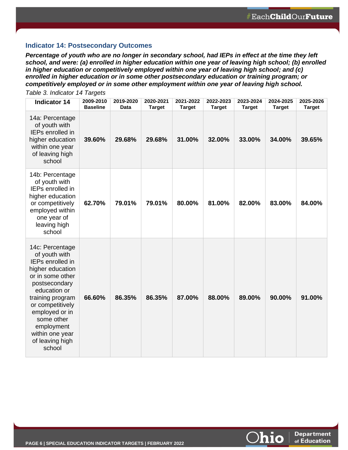**Department** 

of Education

**hio** 

### **Indicator 14: Postsecondary Outcomes**

*Percentage of youth who are no longer in secondary school, had IEPs in effect at the time they left school, and were: (a) enrolled in higher education within one year of leaving high school; (b) enrolled in higher education or competitively employed within one year of leaving high school; and (c) enrolled in higher education or in some other postsecondary education or training program; or competitively employed or in some other employment within one year of leaving high school.*

| <b>Indicator 14</b>                                                                                                                                                                                                                                                        | 2009-2010<br><b>Baseline</b> | 2019-2020<br>Data | 2020-2021<br><b>Target</b> | 2021-2022<br><b>Target</b> | 2022-2023<br><b>Target</b> | 2023-2024<br><b>Target</b> | 2024-2025<br><b>Target</b> | 2025-2026<br><b>Target</b> |
|----------------------------------------------------------------------------------------------------------------------------------------------------------------------------------------------------------------------------------------------------------------------------|------------------------------|-------------------|----------------------------|----------------------------|----------------------------|----------------------------|----------------------------|----------------------------|
| 14a: Percentage<br>of youth with<br><b>IEPs enrolled in</b><br>higher education<br>within one year<br>of leaving high<br>school                                                                                                                                            | 39.60%                       | 29.68%            | 29.68%                     | 31.00%                     | 32.00%                     | 33.00%                     | 34.00%                     | 39.65%                     |
| 14b: Percentage<br>of youth with<br><b>IEPs enrolled in</b><br>higher education<br>or competitively<br>employed within<br>one year of<br>leaving high<br>school                                                                                                            | 62.70%                       | 79.01%            | 79.01%                     | 80.00%                     | 81.00%                     | 82.00%                     | 83.00%                     | 84.00%                     |
| 14c: Percentage<br>of youth with<br><b>IEPs enrolled in</b><br>higher education<br>or in some other<br>postsecondary<br>education or<br>training program<br>or competitively<br>employed or in<br>some other<br>employment<br>within one year<br>of leaving high<br>school | 66.60%                       | 86.35%            | 86.35%                     | 87.00%                     | 88.00%                     | 89.00%                     | 90.00%                     | 91.00%                     |

*Table 3. Indicator 14 Targets*

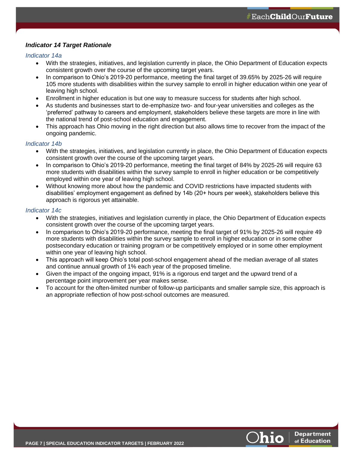### *Indicator 14 Target Rationale*

### *Indicator 14a*

- With the strategies, initiatives, and legislation currently in place, the Ohio Department of Education expects consistent growth over the course of the upcoming target years.
- In comparison to Ohio's 2019-20 performance, meeting the final target of 39.65% by 2025-26 will require 105 more students with disabilities within the survey sample to enroll in higher education within one year of leaving high school.
- Enrollment in higher education is but one way to measure success for students after high school.
- As students and businesses start to de-emphasize two- and four-year universities and colleges as the 'preferred' pathway to careers and employment, stakeholders believe these targets are more in line with the national trend of post-school education and engagement.
- This approach has Ohio moving in the right direction but also allows time to recover from the impact of the ongoing pandemic.

### *Indicator 14b*

- With the strategies, initiatives, and legislation currently in place, the Ohio Department of Education expects consistent growth over the course of the upcoming target years.
- In comparison to Ohio's 2019-20 performance, meeting the final target of 84% by 2025-26 will require 63 more students with disabilities within the survey sample to enroll in higher education or be competitively employed within one year of leaving high school.
- Without knowing more about how the pandemic and COVID restrictions have impacted students with disabilities' employment engagement as defined by 14b (20+ hours per week), stakeholders believe this approach is rigorous yet attainable.

### *Indicator 14c*

- With the strategies, initiatives and legislation currently in place, the Ohio Department of Education expects consistent growth over the course of the upcoming target years.
- In comparison to Ohio's 2019-20 performance, meeting the final target of 91% by 2025-26 will require 49 more students with disabilities within the survey sample to enroll in higher education or in some other postsecondary education or training program or be competitively employed or in some other employment within one year of leaving high school.
- This approach will keep Ohio's total post-school engagement ahead of the median average of all states and continue annual growth of 1% each year of the proposed timeline.
- Given the impact of the ongoing impact, 91% is a rigorous end target and the upward trend of a percentage point improvement per year makes sense.
- <span id="page-8-0"></span>• To account for the often-limited number of follow-up participants and smaller sample size, this approach is an appropriate reflection of how post-school outcomes are measured.

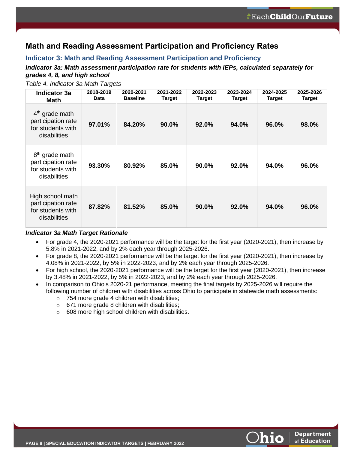# **Math and Reading Assessment Participation and Proficiency Rates**

### <span id="page-9-0"></span>**Indicator 3: Math and Reading Assessment Participation and Proficiency**

### *Indicator 3a: Math assessment participation rate for students with IEPs, calculated separately for grades 4, 8, and high school*

| <b>Indicator 3a</b><br><b>Math</b>                                                    | 2018-2019<br><b>Data</b> | 2020-2021<br><b>Baseline</b> | 2021-2022<br>Target | 2022-2023<br>Target | 2023-2024<br>Target | 2024-2025<br>Target | 2025-2026<br>Target |
|---------------------------------------------------------------------------------------|--------------------------|------------------------------|---------------------|---------------------|---------------------|---------------------|---------------------|
| $4th$ grade math<br>participation rate<br>for students with<br>disabilities           | 97.01%                   | 84.20%                       | 90.0%               | 92.0%               | 94.0%               | 96.0%               | 98.0%               |
| 8 <sup>th</sup> grade math<br>participation rate<br>for students with<br>disabilities | 93.30%                   | 80.92%                       | 85.0%               | 90.0%               | 92.0%               | 94.0%               | 96.0%               |
| High school math<br>participation rate<br>for students with<br>disabilities           | 87.82%                   | 81.52%                       | 85.0%               | $90.0\%$            | 92.0%               | 94.0%               | 96.0%               |

*Table 4. Indicator 3a Math Targets*

### *Indicator 3a Math Target Rationale*

- For grade 4, the 2020-2021 performance will be the target for the first year (2020-2021), then increase by 5.8% in 2021-2022, and by 2% each year through 2025-2026.
- For grade 8, the 2020-2021 performance will be the target for the first year (2020-2021), then increase by 4.08% in 2021-2022, by 5% in 2022-2023, and by 2% each year through 2025-2026.
- For high school, the 2020-2021 performance will be the target for the first year (2020-2021), then increase by 3.48% in 2021-2022, by 5% in 2022-2023, and by 2% each year through 2025-2026.
- In comparison to Ohio's 2020-21 performance, meeting the final targets by 2025-2026 will require the following number of children with disabilities across Ohio to participate in statewide math assessments:
	- o 754 more grade 4 children with disabilities;
	- o 671 more grade 8 children with disabilities;
	- o 608 more high school children with disabilities.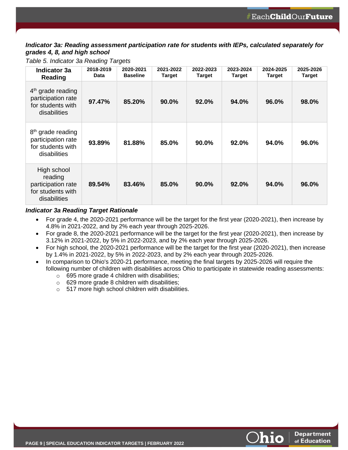### *Indicator 3a: Reading assessment participation rate for students with IEPs, calculated separately for grades 4, 8, and high school*

*Table 5. Indicator 3a Reading Targets*

| <b>Indicator 3a</b><br>Reading                                                           | 2018-2019<br><b>Data</b> | 2020-2021<br><b>Baseline</b> | 2021-2022<br><b>Target</b> | 2022-2023<br>Target | 2023-2024<br><b>Target</b> | 2024-2025<br><b>Target</b> | 2025-2026<br>Target |
|------------------------------------------------------------------------------------------|--------------------------|------------------------------|----------------------------|---------------------|----------------------------|----------------------------|---------------------|
| $4th$ grade reading<br>participation rate<br>for students with<br>disabilities           | 97.47%                   | 85.20%                       | 90.0%                      | 92.0%               | 94.0%                      | 96.0%                      | 98.0%               |
| 8 <sup>th</sup> grade reading<br>participation rate<br>for students with<br>disabilities | 93.89%                   | 81.88%                       | 85.0%                      | $90.0\%$            | 92.0%                      | 94.0%                      | 96.0%               |
| High school<br>reading<br>participation rate<br>for students with<br>disabilities        | 89.54%                   | 83.46%                       | 85.0%                      | 90.0%               | 92.0%                      | 94.0%                      | 96.0%               |

### *Indicator 3a Reading Target Rationale*

- For grade 4, the 2020-2021 performance will be the target for the first year (2020-2021), then increase by 4.8% in 2021-2022, and by 2% each year through 2025-2026.
- For grade 8, the 2020-2021 performance will be the target for the first year (2020-2021), then increase by 3.12% in 2021-2022, by 5% in 2022-2023, and by 2% each year through 2025-2026.
- For high school, the 2020-2021 performance will be the target for the first year (2020-2021), then increase by 1.4% in 2021-2022, by 5% in 2022-2023, and by 2% each year through 2025-2026.
- In comparison to Ohio's 2020-21 performance, meeting the final targets by 2025-2026 will require the following number of children with disabilities across Ohio to participate in statewide reading assessments:
	- o 695 more grade 4 children with disabilities;
	- $\circ$  629 more grade 8 children with disabilities;
	- o 517 more high school children with disabilities.

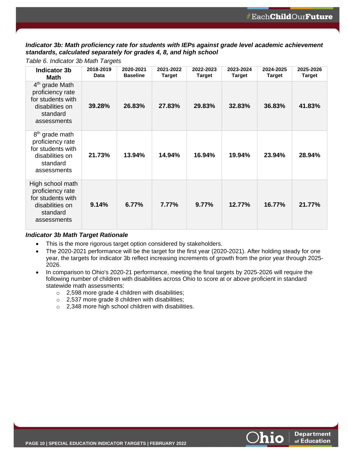*Indicator 3b: Math proficiency rate for students with IEPs against grade level academic achievement standards, calculated separately for grades 4, 8, and high school*

*Table 6. Indicator 3b Math Targets*

| <b>Indicator 3b</b><br><b>Math</b>                                                                                | 2018-2019<br>Data | 2020-2021<br><b>Baseline</b> | 2021-2022<br><b>Target</b> | 2022-2023<br>Target | 2023-2024<br><b>Target</b> | 2024-2025<br>Target | 2025-2026<br><b>Target</b> |
|-------------------------------------------------------------------------------------------------------------------|-------------------|------------------------------|----------------------------|---------------------|----------------------------|---------------------|----------------------------|
| $4th$ grade Math<br>proficiency rate<br>for students with<br>disabilities on<br>standard<br>assessments           | 39.28%            | 26.83%                       | 27.83%                     | 29.83%              | 32.83%                     | 36.83%              | 41.83%                     |
| 8 <sup>th</sup> grade math<br>proficiency rate<br>for students with<br>disabilities on<br>standard<br>assessments | 21.73%            | 13.94%                       | 14.94%                     | 16.94%              | 19.94%                     | 23.94%              | 28.94%                     |
| High school math<br>proficiency rate<br>for students with<br>disabilities on<br>standard<br>assessments           | 9.14%             | 6.77%                        | 7.77%                      | 9.77%               | 12.77%                     | 16.77%              | 21.77%                     |

### *Indicator 3b Math Target Rationale*

- This is the more rigorous target option considered by stakeholders.
- The 2020-2021 performance will be the target for the first year (2020-2021). After holding steady for one year, the targets for indicator 3b reflect increasing increments of growth from the prior year through 2025- 2026.
- In comparison to Ohio's 2020-21 performance, meeting the final targets by 2025-2026 will require the following number of children with disabilities across Ohio to score at or above proficient in standard statewide math assessments:
	- o 2,598 more grade 4 children with disabilities;
	- o 2,537 more grade 8 children with disabilities;
	- o 2,348 more high school children with disabilities.

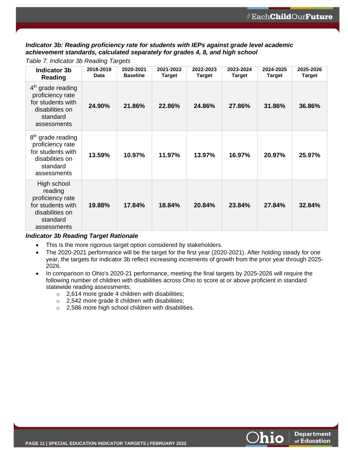*Indicator 3b: Reading proficiency rate for students with IEPs against grade level academic achievement standards, calculated separately for grades 4, 8, and high school*

*Table 7. Indicator 3b Reading Targets*

| Indicator 3b<br><b>Reading</b>                                                                                       | 2018-2019<br>Data | 2020-2021<br><b>Baseline</b> | 2021-2022<br><b>Target</b> | 2022-2023<br>Target | 2023-2024<br><b>Target</b> | 2024-2025<br>Target | 2025-2026<br>Target |
|----------------------------------------------------------------------------------------------------------------------|-------------------|------------------------------|----------------------------|---------------------|----------------------------|---------------------|---------------------|
| $4th$ grade reading<br>proficiency rate<br>for students with<br>disabilities on<br>standard<br>assessments           | 24.90%            | 21.86%                       | 22.86%                     | 24.86%              | 27.86%                     | 31.86%              | 36.86%              |
| 8 <sup>th</sup> grade reading<br>proficiency rate<br>for students with<br>disabilities on<br>standard<br>assessments | 13.59%            | 10.97%                       | 11.97%                     | 13.97%              | 16.97%                     | 20.97%              | 25.97%              |
| High school<br>reading<br>proficiency rate<br>for students with<br>disabilities on<br>standard<br>assessments        | 19.88%            | 17.84%                       | 18.84%                     | 20.84%              | 23.84%                     | 27.84%              | 32.84%              |

### *Indicator 3b Reading Target Rationale*

- This is the more rigorous target option considered by stakeholders.
- The 2020-2021 performance will be the target for the first year (2020-2021). After holding steady for one year, the targets for indicator 3b reflect increasing increments of growth from the prior year through 2025- 2026.
- In comparison to Ohio's 2020-21 performance, meeting the final targets by 2025-2026 will require the following number of children with disabilities across Ohio to score at or above proficient in standard statewide reading assessments:
	- $\circ$  2,614 more grade 4 children with disabilities;
	- o 2,542 more grade 8 children with disabilities;
	- o 2,586 more high school children with disabilities.

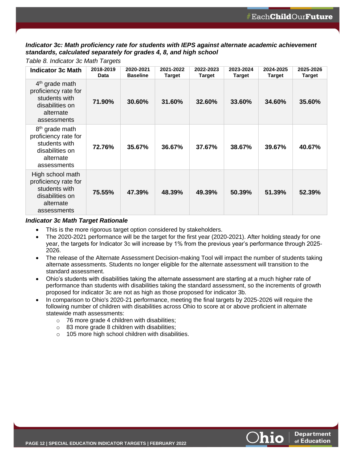*Indicator 3c: Math proficiency rate for students with IEPS against alternate academic achievement standards, calculated separately for grades 4, 8, and high school*

| <b>Indicator 3c Math</b>                                                                                           | 2018-2019<br><b>Data</b> | 2020-2021<br><b>Baseline</b> | 2021-2022<br>Target | 2022-2023<br><b>Target</b> | 2023-2024<br><b>Target</b> | 2024-2025<br><b>Target</b> | 2025-2026<br><b>Target</b> |
|--------------------------------------------------------------------------------------------------------------------|--------------------------|------------------------------|---------------------|----------------------------|----------------------------|----------------------------|----------------------------|
| $4th$ grade math<br>proficiency rate for<br>students with<br>disabilities on<br>alternate<br>assessments           | 71.90%                   | 30.60%                       | 31.60%              | 32.60%                     | 33.60%                     | 34.60%                     | 35.60%                     |
| 8 <sup>th</sup> grade math<br>proficiency rate for<br>students with<br>disabilities on<br>alternate<br>assessments | 72.76%                   | 35.67%                       | 36.67%              | 37.67%                     | 38.67%                     | 39.67%                     | 40.67%                     |
| High school math<br>proficiency rate for<br>students with<br>disabilities on<br>alternate<br>assessments           | 75.55%                   | 47.39%                       | 48.39%              | 49.39%                     | 50.39%                     | 51.39%                     | 52.39%                     |

#### *Table 8. Indicator 3c Math Targets*

#### *Indicator 3c Math Target Rationale*

- This is the more rigorous target option considered by stakeholders.
- The 2020-2021 performance will be the target for the first year (2020-2021). After holding steady for one year, the targets for Indicator 3c will increase by 1% from the previous year's performance through 2025- 2026.
- The release of the Alternate Assessment Decision-making Tool will impact the number of students taking alternate assessments. Students no longer eligible for the alternate assessment will transition to the standard assessment.
- Ohio's students with disabilities taking the alternate assessment are starting at a much higher rate of performance than students with disabilities taking the standard assessment, so the increments of growth proposed for indicator 3c are not as high as those proposed for indicator 3b.
- In comparison to Ohio's 2020-21 performance, meeting the final targets by 2025-2026 will require the following number of children with disabilities across Ohio to score at or above proficient in alternate statewide math assessments:
	- $\circ$  76 more grade 4 children with disabilities;
	- o 83 more grade 8 children with disabilities;
	- o 105 more high school children with disabilities.

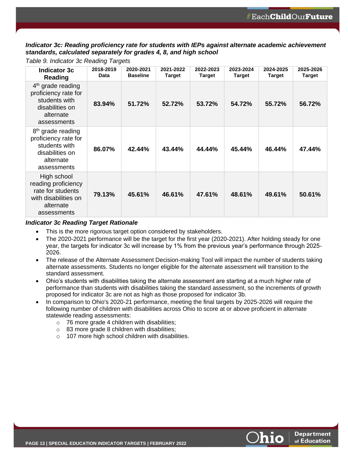*Indicator 3c: Reading proficiency rate for students with IEPs against alternate academic achievement standards, calculated separately for grades 4, 8, and high school*

*Table 9. Indicator 3c Reading Targets*

| <b>Indicator 3c</b><br>Reading                                                                                        | 2018-2019<br><b>Data</b> | 2020-2021<br><b>Baseline</b> | 2021-2022<br>Target | 2022-2023<br><b>Target</b> | 2023-2024<br><b>Target</b> | 2024-2025<br>Target | 2025-2026<br>Target |
|-----------------------------------------------------------------------------------------------------------------------|--------------------------|------------------------------|---------------------|----------------------------|----------------------------|---------------------|---------------------|
| $4th$ grade reading<br>proficiency rate for<br>students with<br>disabilities on<br>alternate<br>assessments           | 83.94%                   | 51.72%                       | 52.72%              | 53.72%                     | 54.72%                     | 55.72%              | 56.72%              |
| 8 <sup>th</sup> grade reading<br>proficiency rate for<br>students with<br>disabilities on<br>alternate<br>assessments | 86.07%                   | 42.44%                       | 43.44%              | 44.44%                     | 45.44%                     | 46.44%              | 47.44%              |
| High school<br>reading proficiency<br>rate for students<br>with disabilities on<br>alternate<br>assessments           | 79.13%                   | 45.61%                       | 46.61%              | 47.61%                     | 48.61%                     | 49.61%              | 50.61%              |

### *Indicator 3c Reading Target Rationale*

- This is the more rigorous target option considered by stakeholders.
- The 2020-2021 performance will be the target for the first year (2020-2021). After holding steady for one year, the targets for indicator 3c will increase by 1% from the previous year's performance through 2025- 2026.
- The release of the Alternate Assessment Decision-making Tool will impact the number of students taking alternate assessments. Students no longer eligible for the alternate assessment will transition to the standard assessment.
- Ohio's students with disabilities taking the alternate assessment are starting at a much higher rate of performance than students with disabilities taking the standard assessment, so the increments of growth proposed for indicator 3c are not as high as those proposed for indicator 3b.
- In comparison to Ohio's 2020-21 performance, meeting the final targets by 2025-2026 will require the following number of children with disabilities across Ohio to score at or above proficient in alternate statewide reading assessments:
	- $\circ$  76 more grade 4 children with disabilities;
	- $\circ$  83 more grade 8 children with disabilities;
	- o 107 more high school children with disabilities.

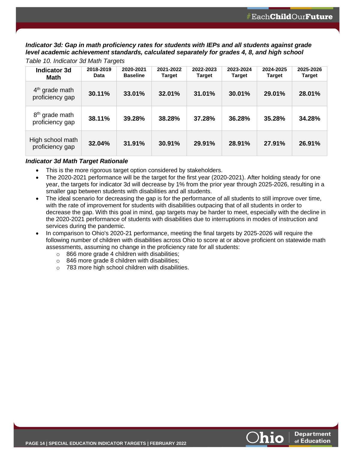*Indicator 3d: Gap in math proficiency rates for students with IEPs and all students against grade level academic achievement standards, calculated separately for grades 4, 8, and high school*

| <b>Indicator 3d</b><br>Math                   | 2018-2019<br>Data | 2020-2021<br><b>Baseline</b> | 2021-2022<br><b>Target</b> | 2022-2023<br><b>Target</b> | 2023-2024<br><b>Target</b> | 2024-2025<br><b>Target</b> | 2025-2026<br><b>Target</b> |
|-----------------------------------------------|-------------------|------------------------------|----------------------------|----------------------------|----------------------------|----------------------------|----------------------------|
| $4th$ grade math<br>proficiency gap           | 30.11%            | 33.01%                       | 32.01%                     | 31.01%                     | 30.01%                     | 29.01%                     | 28.01%                     |
| 8 <sup>th</sup> grade math<br>proficiency gap | 38.11%            | 39.28%                       | 38.28%                     | 37.28%                     | 36.28%                     | 35.28%                     | 34.28%                     |
| High school math<br>proficiency gap           | 32.04%            | 31.91%                       | 30.91%                     | 29.91%                     | 28.91%                     | 27.91%                     | 26.91%                     |

*Table 10. Indicator 3d Math Targets*

### *Indicator 3d Math Target Rationale*

- This is the more rigorous target option considered by stakeholders.
- The 2020-2021 performance will be the target for the first year (2020-2021). After holding steady for one year, the targets for indicator 3d will decrease by 1% from the prior year through 2025-2026, resulting in a smaller gap between students with disabilities and all students.
- The ideal scenario for decreasing the gap is for the performance of all students to still improve over time, with the rate of improvement for students with disabilities outpacing that of all students in order to decrease the gap. With this goal in mind, gap targets may be harder to meet, especially with the decline in the 2020-2021 performance of students with disabilities due to interruptions in modes of instruction and services during the pandemic.
- In comparison to Ohio's 2020-21 performance, meeting the final targets by 2025-2026 will require the following number of children with disabilities across Ohio to score at or above proficient on statewide math assessments, assuming no change in the proficiency rate for all students:
	- o 866 more grade 4 children with disabilities;
	- o 846 more grade 8 children with disabilities;
	- o 783 more high school children with disabilities.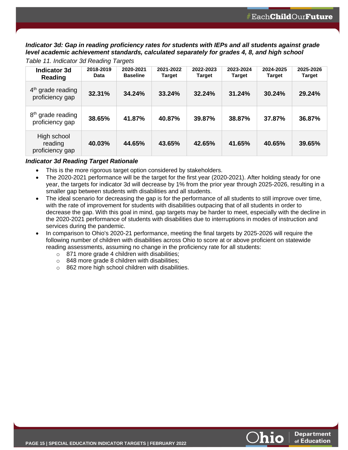*Indicator 3d: Gap in reading proficiency rates for students with IEPs and all students against grade level academic achievement standards, calculated separately for grades 4, 8, and high school*

| <b>Indicator 3d</b><br>Reading                   | 2018-2019<br>Data | 2020-2021<br><b>Baseline</b> | 2021-2022<br><b>Target</b> | 2022-2023<br><b>Target</b> | 2023-2024<br><b>Target</b> | 2024-2025<br><b>Target</b> | 2025-2026<br><b>Target</b> |
|--------------------------------------------------|-------------------|------------------------------|----------------------------|----------------------------|----------------------------|----------------------------|----------------------------|
| $4th$ grade reading<br>proficiency gap           | 32.31%            | 34.24%                       | 33.24%                     | 32.24%                     | 31.24%                     | 30.24%                     | 29.24%                     |
| 8 <sup>th</sup> grade reading<br>proficiency gap | 38.65%            | 41.87%                       | 40.87%                     | 39.87%                     | 38.87%                     | 37.87%                     | 36.87%                     |
| High school<br>reading<br>proficiency gap        | 40.03%            | 44.65%                       | 43.65%                     | 42.65%                     | 41.65%                     | 40.65%                     | 39.65%                     |

*Table 11. Indicator 3d Reading Targets*

### *Indicator 3d Reading Target Rationale*

- This is the more rigorous target option considered by stakeholders.
- The 2020-2021 performance will be the target for the first year (2020-2021). After holding steady for one year, the targets for indicator 3d will decrease by 1% from the prior year through 2025-2026, resulting in a smaller gap between students with disabilities and all students.
- The ideal scenario for decreasing the gap is for the performance of all students to still improve over time, with the rate of improvement for students with disabilities outpacing that of all students in order to decrease the gap. With this goal in mind, gap targets may be harder to meet, especially with the decline in the 2020-2021 performance of students with disabilities due to interruptions in modes of instruction and services during the pandemic.
- <span id="page-16-0"></span>• In comparison to Ohio's 2020-21 performance, meeting the final targets by 2025-2026 will require the following number of children with disabilities across Ohio to score at or above proficient on statewide reading assessments, assuming no change in the proficiency rate for all students:
	- o 871 more grade 4 children with disabilities;
	- o 848 more grade 8 children with disabilities;
	- o 862 more high school children with disabilities.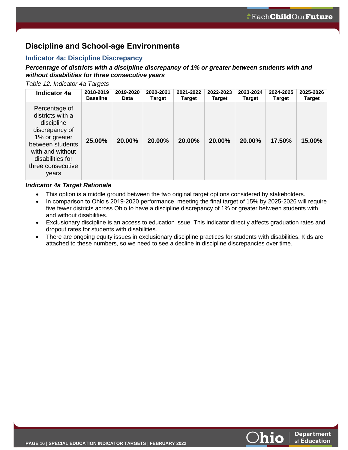# **Discipline and School-age Environments**

### <span id="page-17-0"></span>**Indicator 4a: Discipline Discrepancy**

### *Percentage of districts with a discipline discrepancy of 1% or greater between students with and without disabilities for three consecutive years*

*Table 12. Indicator 4a Targets*

| <b>Indicator 4a</b>                                                                                                                                                          | 2018-2019       | 2019-2020   | 2020-2021     | 2021-2022     | 2022-2023 | 2023-2024     | 2024-2025     | 2025-2026     |
|------------------------------------------------------------------------------------------------------------------------------------------------------------------------------|-----------------|-------------|---------------|---------------|-----------|---------------|---------------|---------------|
|                                                                                                                                                                              | <b>Baseline</b> | <b>Data</b> | <b>Target</b> | <b>Target</b> | Target    | <b>Target</b> | <b>Target</b> | <b>Target</b> |
| Percentage of<br>districts with a<br>discipline<br>discrepancy of<br>1% or greater<br>between students<br>with and without<br>disabilities for<br>three consecutive<br>years | 25.00%          | 20.00%      | 20.00%        | 20.00%        | 20.00%    | 20.00%        | 17.50%        | 15.00%        |

### *Indicator 4a Target Rationale*

- This option is a middle ground between the two original target options considered by stakeholders.
- In comparison to Ohio's 2019-2020 performance, meeting the final target of 15% by 2025-2026 will require five fewer districts across Ohio to have a discipline discrepancy of 1% or greater between students with and without disabilities.
- Exclusionary discipline is an access to education issue. This indicator directly affects graduation rates and dropout rates for students with disabilities.
- <span id="page-17-1"></span>• There are ongoing equity issues in exclusionary discipline practices for students with disabilities. Kids are attached to these numbers, so we need to see a decline in discipline discrepancies over time.

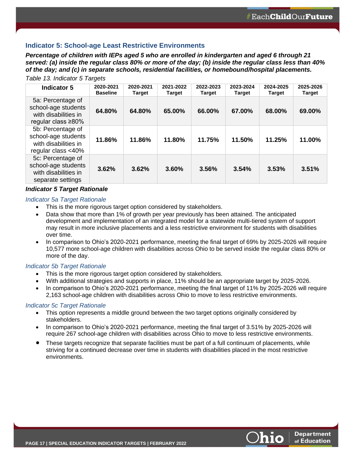### **Indicator 5: School-age Least Restrictive Environments**

*Percentage of children with IEPs aged 5 who are enrolled in kindergarten and aged 6 through 21 served: (a) inside the regular class 80% or more of the day; (b) inside the regular class less than 40% of the day; and (c) in separate schools, residential facilities, or homebound/hospital placements.*

### *Table 13. Indicator 5 Targets*

| Indicator 5                                                                                   | 2020-2021<br><b>Baseline</b> | 2020-2021<br><b>Target</b> | 2021-2022<br><b>Target</b> | 2022-2023<br>Target | 2023-2024<br>Target | 2024-2025<br><b>Target</b> | 2025-2026<br><b>Target</b> |
|-----------------------------------------------------------------------------------------------|------------------------------|----------------------------|----------------------------|---------------------|---------------------|----------------------------|----------------------------|
| 5a: Percentage of<br>school-age students<br>with disabilities in<br>regular class $\geq 80\%$ | 64.80%                       | 64.80%                     | 65.00%                     | 66.00%              | 67.00%              | 68.00%                     | 69.00%                     |
| 5b: Percentage of<br>school-age students<br>with disabilities in<br>regular class $<$ 40%     | 11.86%                       | 11.86%                     | 11.80%                     | 11.75%              | 11.50%              | 11.25%                     | 11.00%                     |
| 5c: Percentage of<br>school-age students<br>with disabilities in<br>separate settings         | 3.62%                        | 3.62%                      | 3.60%                      | 3.56%               | 3.54%               | 3.53%                      | 3.51%                      |

#### *Indicator 5 Target Rationale*

### <span id="page-18-0"></span>*Indicator 5a Target Rationale*

- This is the more rigorous target option considered by stakeholders.
- Data show that more than 1% of growth per year previously has been attained. The anticipated development and implementation of an integrated model for a statewide multi-tiered system of support may result in more inclusive placements and a less restrictive environment for students with disabilities over time.
- In comparison to Ohio's 2020-2021 performance, meeting the final target of 69% by 2025-2026 will require 10,577 more school-age children with disabilities across Ohio to be served inside the regular class 80% or more of the day.

### *Indicator 5b Target Rationale*

- This is the more rigorous target option considered by stakeholders.
- With additional strategies and supports in place, 11% should be an appropriate target by 2025-2026.
- In comparison to Ohio's 2020-2021 performance, meeting the final target of 11% by 2025-2026 will require 2,163 school-age children with disabilities across Ohio to move to less restrictive environments.

### *Indicator 5c Target Rationale*

- This option represents a middle ground between the two target options originally considered by stakeholders.
- In comparison to Ohio's 2020-2021 performance, meeting the final target of 3.51% by 2025-2026 will require 267 school-age children with disabilities across Ohio to move to less restrictive environments.
- These targets recognize that separate facilities must be part of a full continuum of placements, while striving for a continued decrease over time in students with disabilities placed in the most restrictive environments.

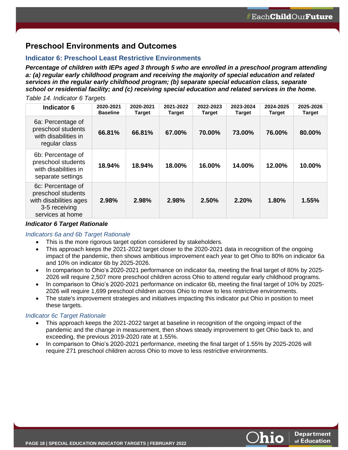# **Preschool Environments and Outcomes**

### <span id="page-19-0"></span>**Indicator 6: Preschool Least Restrictive Environments**

*Percentage of children with IEPs aged 3 through 5 who are enrolled in a preschool program attending a: (a) regular early childhood program and receiving the majority of special education and related services in the regular early childhood program; (b) separate special education class, separate school or residential facility; and (c) receiving special education and related services in the home.*

### *Table 14. Indicator 6 Targets*

| Indicator 6                                                                                            | 2020-2021<br><b>Baseline</b> | 2020-2021<br><b>Target</b> | 2021-2022<br><b>Target</b> | 2022-2023<br>Target | 2023-2024<br><b>Target</b> | 2024-2025<br><b>Target</b> | 2025-2026<br>Target |
|--------------------------------------------------------------------------------------------------------|------------------------------|----------------------------|----------------------------|---------------------|----------------------------|----------------------------|---------------------|
| 6a: Percentage of<br>preschool students<br>with disabilities in<br>regular class                       | 66.81%                       | 66.81%                     | 67.00%                     | 70.00%              | 73.00%                     | 76.00%                     | 80.00%              |
| 6b: Percentage of<br>preschool students<br>with disabilities in<br>separate settings                   | 18.94%                       | 18.94%                     | 18.00%                     | 16.00%              | 14.00%                     | 12.00%                     | 10.00%              |
| 6c: Percentage of<br>preschool students<br>with disabilities ages<br>3-5 receiving<br>services at home | 2.98%                        | 2.98%                      | 2.98%                      | 2.50%               | 2.20%                      | 1.80%                      | 1.55%               |

### *Indicator 6 Target Rationale*

### <span id="page-19-1"></span>*Indicators 6a and 6b Target Rationale*

- This is the more rigorous target option considered by stakeholders.
- This approach keeps the 2021-2022 target closer to the 2020-2021 data in recognition of the ongoing impact of the pandemic, then shows ambitious improvement each year to get Ohio to 80% on indicator 6a and 10% on indicator 6b by 2025-2026.
- In comparison to Ohio's 2020-2021 performance on indicator 6a, meeting the final target of 80% by 2025- 2026 will require 2,507 more preschool children across Ohio to attend regular early childhood programs.
- In comparison to Ohio's 2020-2021 performance on indicator 6b, meeting the final target of 10% by 2025- 2026 will require 1,699 preschool children across Ohio to move to less restrictive environments.
- The state's improvement strategies and initiatives impacting this indicator put Ohio in position to meet these targets.

### *Indicator 6c Target Rationale*

- This approach keeps the 2021-2022 target at baseline in recognition of the ongoing impact of the pandemic and the change in measurement, then shows steady improvement to get Ohio back to, and exceeding, the previous 2019-2020 rate at 1.55%.
- In comparison to Ohio's 2020-2021 performance, meeting the final target of 1.55% by 2025-2026 will require 271 preschool children across Ohio to move to less restrictive environments.

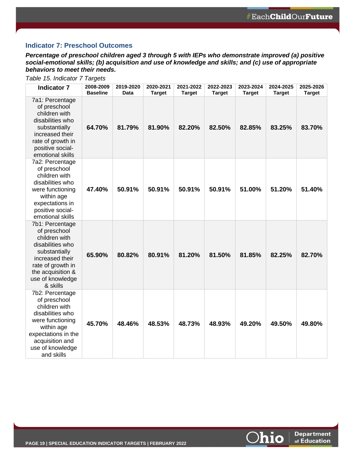**Department** 

of Education

<u> Ohio</u>

### **Indicator 7: Preschool Outcomes**

*Percentage of preschool children aged 3 through 5 with IEPs who demonstrate improved (a) positive social-emotional skills; (b) acquisition and use of knowledge and skills; and (c) use of appropriate behaviors to meet their needs.*

| <b>Indicator 7</b>                                                                                                                                                                 | 2008-2009<br><b>Baseline</b> | 2019-2020<br>Data | 2020-2021<br><b>Target</b> | 2021-2022<br><b>Target</b> | 2022-2023<br><b>Target</b> | 2023-2024<br><b>Target</b> | 2024-2025<br>Target | 2025-2026<br><b>Target</b> |
|------------------------------------------------------------------------------------------------------------------------------------------------------------------------------------|------------------------------|-------------------|----------------------------|----------------------------|----------------------------|----------------------------|---------------------|----------------------------|
| 7a1: Percentage<br>of preschool<br>children with<br>disabilities who<br>substantially<br>increased their<br>rate of growth in<br>positive social-<br>emotional skills              | 64.70%                       | 81.79%            | 81.90%                     | 82.20%                     | 82.50%                     | 82.85%                     | 83.25%              | 83.70%                     |
| 7a2: Percentage<br>of preschool<br>children with<br>disabilities who<br>were functioning<br>within age<br>expectations in<br>positive social-<br>emotional skills                  | 47.40%                       | 50.91%            | 50.91%                     | 50.91%                     | 50.91%                     | 51.00%                     | 51.20%              | 51.40%                     |
| 7b1: Percentage<br>of preschool<br>children with<br>disabilities who<br>substantially<br>increased their<br>rate of growth in<br>the acquisition &<br>use of knowledge<br>& skills | 65.90%                       | 80.82%            | 80.91%                     | 81.20%                     | 81.50%                     | 81.85%                     | 82.25%              | 82.70%                     |
| 7b2: Percentage<br>of preschool<br>children with<br>disabilities who<br>were functioning<br>within age<br>expectations in the<br>acquisition and<br>use of knowledge<br>and skills | 45.70%                       | 48.46%            | 48.53%                     | 48.73%                     | 48.93%                     | 49.20%                     | 49.50%              | 49.80%                     |

*Table 15. Indicator 7 Targets*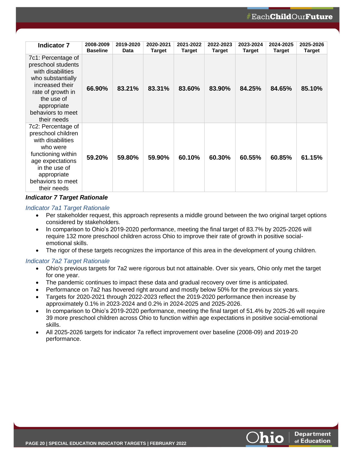| <b>Indicator 7</b>                                                                                                                                                                          | 2008-2009<br><b>Baseline</b> | 2019-2020<br><b>Data</b> | 2020-2021<br>Target | 2021-2022<br>Target | 2022-2023<br>Target | 2023-2024<br>Target | 2024-2025<br>Target | 2025-2026<br><b>Target</b> |
|---------------------------------------------------------------------------------------------------------------------------------------------------------------------------------------------|------------------------------|--------------------------|---------------------|---------------------|---------------------|---------------------|---------------------|----------------------------|
| 7c1: Percentage of<br>preschool students<br>with disabilities<br>who substantially<br>increased their<br>rate of growth in<br>the use of<br>appropriate<br>behaviors to meet<br>their needs | 66.90%                       | 83.21%                   | 83.31%              | 83.60%              | 83.90%              | 84.25%              | 84.65%              | 85.10%                     |
| 7c2: Percentage of<br>preschool children<br>with disabilities<br>who were<br>functioning within<br>age expectations<br>in the use of<br>appropriate<br>behaviors to meet<br>their needs     | 59.20%                       | 59.80%                   | 59.90%              | 60.10%              | 60.30%              | 60.55%              | 60.85%              | 61.15%                     |

### *Indicator 7 Target Rationale*

### *Indicator 7a1 Target Rationale*

- Per stakeholder request, this approach represents a middle ground between the two original target options considered by stakeholders.
- In comparison to Ohio's 2019-2020 performance, meeting the final target of 83.7% by 2025-2026 will require 132 more preschool children across Ohio to improve their rate of growth in positive socialemotional skills.
- The rigor of these targets recognizes the importance of this area in the development of young children.

### *Indicator 7a2 Target Rationale*

- Ohio's previous targets for 7a2 were rigorous but not attainable. Over six years, Ohio only met the target for one year.
- The pandemic continues to impact these data and gradual recovery over time is anticipated.
- Performance on 7a2 has hovered right around and mostly below 50% for the previous six years.
- Targets for 2020-2021 through 2022-2023 reflect the 2019-2020 performance then increase by approximately 0.1% in 2023-2024 and 0.2% in 2024-2025 and 2025-2026.
- In comparison to Ohio's 2019-2020 performance, meeting the final target of 51.4% by 2025-26 will require 39 more preschool children across Ohio to function within age expectations in positive social-emotional skills.
- All 2025-2026 targets for indicator 7a reflect improvement over baseline (2008-09) and 2019-20 performance.

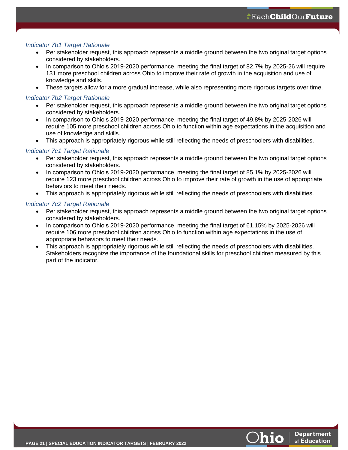### *Indicator 7b1 Target Rationale*

- Per stakeholder request, this approach represents a middle ground between the two original target options considered by stakeholders.
- In comparison to Ohio's 2019-2020 performance, meeting the final target of 82.7% by 2025-26 will require 131 more preschool children across Ohio to improve their rate of growth in the acquisition and use of knowledge and skills.
- These targets allow for a more gradual increase, while also representing more rigorous targets over time.

### *Indicator 7b2 Target Rationale*

- Per stakeholder request, this approach represents a middle ground between the two original target options considered by stakeholders.
- In comparison to Ohio's 2019-2020 performance, meeting the final target of 49.8% by 2025-2026 will require 105 more preschool children across Ohio to function within age expectations in the acquisition and use of knowledge and skills.
- This approach is appropriately rigorous while still reflecting the needs of preschoolers with disabilities.

### *Indicator 7c1 Target Rationale*

- Per stakeholder request, this approach represents a middle ground between the two original target options considered by stakeholders.
- In comparison to Ohio's 2019-2020 performance, meeting the final target of 85.1% by 2025-2026 will require 123 more preschool children across Ohio to improve their rate of growth in the use of appropriate behaviors to meet their needs.
- This approach is appropriately rigorous while still reflecting the needs of preschoolers with disabilities.

### *Indicator 7c2 Target Rationale*

- Per stakeholder request, this approach represents a middle ground between the two original target options considered by stakeholders.
- In comparison to Ohio's 2019-2020 performance, meeting the final target of 61.15% by 2025-2026 will require 106 more preschool children across Ohio to function within age expectations in the use of appropriate behaviors to meet their needs.
- <span id="page-22-0"></span>• This approach is appropriately rigorous while still reflecting the needs of preschoolers with disabilities. Stakeholders recognize the importance of the foundational skills for preschool children measured by this part of the indicator.

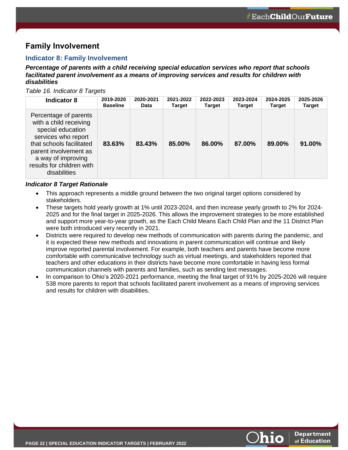# **Family Involvement**

### <span id="page-23-0"></span>**Indicator 8: Family Involvement**

*Percentage of parents with a child receiving special education services who report that schools facilitated parent involvement as a means of improving services and results for children with disabilities*

*Table 16. Indicator 8 Targets*

| Indicator 8                                                                                                                                                                                                         | 2019-2020       | 2020-2021 | 2021-2022     | 2022-2023 | 2023-2024     | 2024-2025     | 2025-2026     |
|---------------------------------------------------------------------------------------------------------------------------------------------------------------------------------------------------------------------|-----------------|-----------|---------------|-----------|---------------|---------------|---------------|
|                                                                                                                                                                                                                     | <b>Baseline</b> | Data      | <b>Target</b> | Target    | <b>Target</b> | <b>Target</b> | <b>Target</b> |
| Percentage of parents<br>with a child receiving<br>special education<br>services who report<br>that schools facilitated<br>parent involvement as<br>a way of improving<br>results for children with<br>disabilities | 83.63%          | 83.43%    | 85.00%        | 86.00%    | 87.00%        | 89.00%        | 91.00%        |

### *Indicator 8 Target Rationale*

- This approach represents a middle ground between the two original target options considered by stakeholders.
- These targets hold yearly growth at 1% until 2023-2024, and then increase yearly growth to 2% for 2024- 2025 and for the final target in 2025-2026. This allows the improvement strategies to be more established and support more year-to-year growth, as the Each Child Means Each Child Plan and the 11 District Plan were both introduced very recently in 2021.
- Districts were required to develop new methods of communication with parents during the pandemic, and it is expected these new methods and innovations in parent communication will continue and likely improve reported parental involvement. For example, both teachers and parents have become more comfortable with communicative technology such as virtual meetings, and stakeholders reported that teachers and other educations in their districts have become more comfortable in having less formal communication channels with parents and families, such as sending text messages.
- <span id="page-23-1"></span>• In comparison to Ohio's 2020-2021 performance, meeting the final target of 91% by 2025-2026 will require 538 more parents to report that schools facilitated parent involvement as a means of improving services and results for children with disabilities.